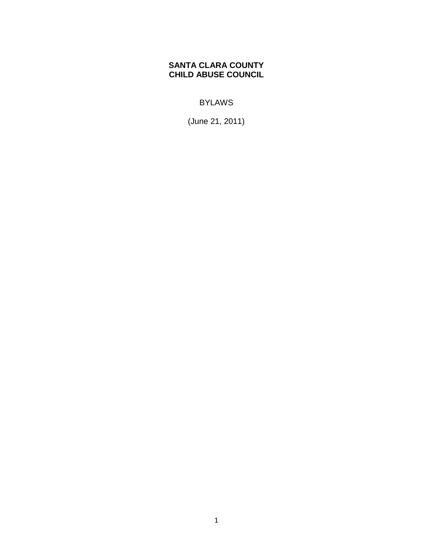# **SANTA CLARA COUNTY CHILD ABUSE COUNCIL**

BYLAWS

(June 21, 2011)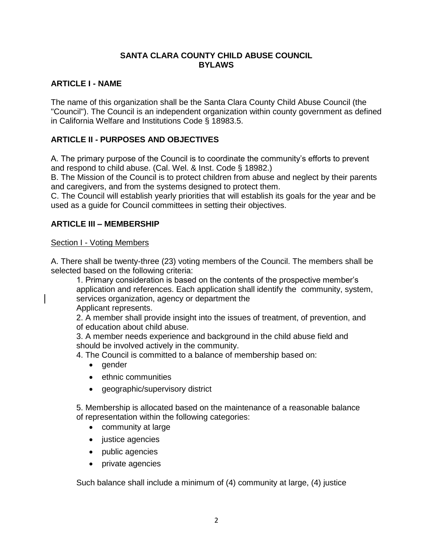## **SANTA CLARA COUNTY CHILD ABUSE COUNCIL BYLAWS**

# **ARTICLE I - NAME**

The name of this organization shall be the Santa Clara County Child Abuse Council (the "Council"). The Council is an independent organization within county government as defined in California Welfare and Institutions Code § 18983.5.

# **ARTICLE II - PURPOSES AND OBJECTIVES**

A. The primary purpose of the Council is to coordinate the community's efforts to prevent and respond to child abuse. (Cal. Wel. & Inst. Code § 18982.)

B. The Mission of the Council is to protect children from abuse and neglect by their parents and caregivers, and from the systems designed to protect them.

C. The Council will establish yearly priorities that will establish its goals for the year and be used as a guide for Council committees in setting their objectives.

# **ARTICLE III – MEMBERSHIP**

## Section I - Voting Members

A. There shall be twenty-three (23) voting members of the Council. The members shall be selected based on the following criteria:

1. Primary consideration is based on the contents of the prospective member's application and references. Each application shall identify the community, system, services organization, agency or department the Applicant represents.

2. A member shall provide insight into the issues of treatment, of prevention, and of education about child abuse.

3. A member needs experience and background in the child abuse field and should be involved actively in the community.

4. The Council is committed to a balance of membership based on:

- $\bullet$  gender
- ethnic communities
- geographic/supervisory district

5. Membership is allocated based on the maintenance of a reasonable balance of representation within the following categories:

- community at large
- justice agencies
- public agencies
- private agencies

Such balance shall include a minimum of (4) community at large, (4) justice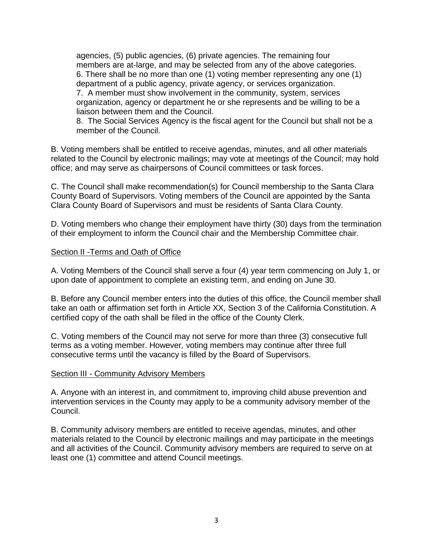agencies, (5) public agencies, (6) private agencies. The remaining four members are at-large, and may be selected from any of the above categories. 6. There shall be no more than one (1) voting member representing any one (1) department of a public agency, private agency, or services organization. 7. A member must show involvement in the community, system, services organization, agency or department he or she represents and be willing to be a liaison between them and the Council.

8. The Social Services Agency is the fiscal agent for the Council but shall not be a member of the Council.

B. Voting members shall be entitled to receive agendas, minutes, and all other materials related to the Council by electronic mailings; may vote at meetings of the Council; may hold office; and may serve as chairpersons of Council committees or task forces.

C. The Council shall make recommendation(s) for Council membership to the Santa Clara County Board of Supervisors. Voting members of the Council are appointed by the Santa Clara County Board of Supervisors and must be residents of Santa Clara County.

D. Voting members who change their employment have thirty (30) days from the termination of their employment to inform the Council chair and the Membership Committee chair.

#### Section II - Terms and Oath of Office

A. Voting Members of the Council shall serve a four (4) year term commencing on July 1, or upon date of appointment to complete an existing term, and ending on June 30*.* 

B. Before any Council member enters into the duties of this office, the Council member shall take an oath or affirmation set forth in Article XX, Section 3 of the California Constitution. A certified copy of the oath shall be filed in the office of the County Clerk.

C. Voting members of the Council may not serve for more than three (3) consecutive full terms as a voting member. However*,* voting members may continue after three full consecutive terms until the vacancy is filled by the Board of Supervisors*.* 

#### Section III - Community Advisory Members

A. Anyone with an interest in, and commitment to, improving child abuse prevention and intervention services in the County may apply to be a community advisory member of the Council.

B. Community advisory members are entitled to receive agendas, minutes, and other materials related to the Council by electronic mailings and may participate in the meetings and all activities of the Council. Community advisory members are required to serve on at least one (1) committee and attend Council meetings.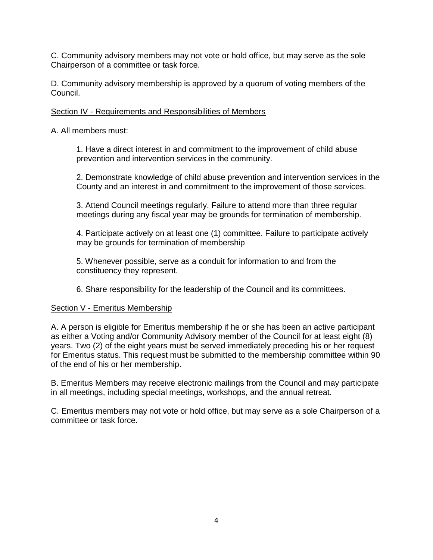C. Community advisory members may not vote or hold office, but may serve as the sole Chairperson of a committee or task force.

D. Community advisory membership is approved by a quorum of voting members of the Council.

# Section IV - Requirements and Responsibilities of Members

A. All members must:

1. Have a direct interest in and commitment to the improvement of child abuse prevention and intervention services in the community.

2. Demonstrate knowledge of child abuse prevention and intervention services in the County and an interest in and commitment to the improvement of those services.

3. Attend Council meetings regularly. Failure to attend more than three regular meetings during any fiscal year may be grounds for termination of membership.

4. Participate actively on at least one (1) committee. Failure to participate actively may be grounds for termination of membership

5. Whenever possible, serve as a conduit for information to and from the constituency they represent.

6. Share responsibility for the leadership of the Council and its committees.

### Section V - Emeritus Membership

A. A person is eligible for Emeritus membership if he or she has been an active participant as either a Voting and/or Community Advisory member of the Council for at least eight (8) years. Two (2) of the eight years must be served immediately preceding his or her request for Emeritus status. This request must be submitted to the membership committee within 90 of the end of his or her membership.

B. Emeritus Members may receive electronic mailings from the Council and may participate in all meetings, including special meetings, workshops, and the annual retreat.

C. Emeritus members may not vote or hold office, but may serve as a sole Chairperson of a committee or task force.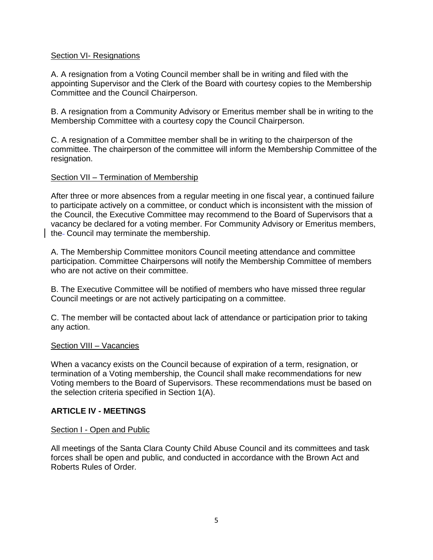### Section VI- Resignations

A. A resignation from a Voting Council member shall be in writing and filed with the appointing Supervisor and the Clerk of the Board with courtesy copies to the Membership Committee and the Council Chairperson.

B. A resignation from a Community Advisory or Emeritus member shall be in writing to the Membership Committee with a courtesy copy the Council Chairperson.

C. A resignation of a Committee member shall be in writing to the chairperson of the committee. The chairperson of the committee will inform the Membership Committee of the resignation.

## Section VII – Termination of Membership

After three or more absences from a regular meeting in one fiscal year, a continued failure to participate actively on a committee, or conduct which is inconsistent with the mission of the Council, the Executive Committee may recommend to the Board of Supervisors that a vacancy be declared for a voting member. For Community Advisory or Emeritus members, the-Council may terminate the membership.

A. The Membership Committee monitors Council meeting attendance and committee participation. Committee Chairpersons will notify the Membership Committee of members who are not active on their committee.

B. The Executive Committee will be notified of members who have missed three regular Council meetings or are not actively participating on a committee.

C. The member will be contacted about lack of attendance or participation prior to taking any action.

### Section VIII – Vacancies

When a vacancy exists on the Council because of expiration of a term, resignation, or termination of a Voting membership, the Council shall make recommendations for new Voting members to the Board of Supervisors. These recommendations must be based on the selection criteria specified in Section 1(A).

# **ARTICLE IV - MEETINGS**

### Section I - Open and Public

All meetings of the Santa Clara County Child Abuse Council and its committees and task forces shall be open and public*,* and conducted in accordance with the Brown Act and Roberts Rules of Order*.*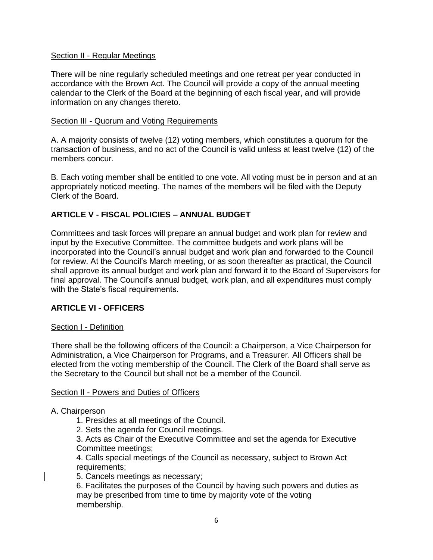### Section II - Regular Meetings

There will be nine regularly scheduled meetings and one retreat per year conducted in accordance with the Brown Act. The Council will provide a copy of the annual meeting calendar to the Clerk of the Board at the beginning of each fiscal year, and will provide information on any changes thereto.

#### Section III - Quorum and Voting Requirements

A. A majority consists of twelve (12) voting members, which constitutes a quorum for the transaction of business, and no act of the Council is valid unless at least twelve (12) of the members concur.

B*.* Each voting member shall be entitled to one vote. All voting must be in person and at an appropriately noticed meeting. The names of the members will be filed with the Deputy Clerk of the Board.

## **ARTICLE V - FISCAL POLICIES** *–* **ANNUAL BUDGET**

Committees and task forces will prepare an annual budget and work plan for review and input by the Executive Committee. The committee budgets and work plans will be incorporated into the Council's annual budget and work plan and forwarded to the Council for review. At the Council's March meeting, or as soon thereafter as practical, the Council shall approve its annual budget and work plan and forward it to the Board of Supervisors for final approval. The Council's annual budget, work plan, and all expenditures must comply with the State's fiscal requirements.

### **ARTICLE VI - OFFICERS**

### Section I - Definition

There shall be the following officers of the Council: a Chairperson, a Vice Chairperson for Administration, a Vice Chairperson for Programs, and a Treasurer. All Officers shall be elected from the voting membership of the Council. The Clerk of the Board shall serve as the Secretary to the Council but shall not be a member of the Council.

#### Section II - Powers and Duties of Officers

A. Chairperson

- 1. Presides at all meetings of the Council.
- 2. Sets the agenda for Council meetings.

3. Acts as Chair of the Executive Committee and set the agenda for Executive Committee meetings;

4. Calls special meetings of the Council as necessary, subject to Brown Act requirements;

5. Cancels meetings as necessary;

6. Facilitates the purposes of the Council by having such powers and duties as may be prescribed from time to time by majority vote of the voting membership.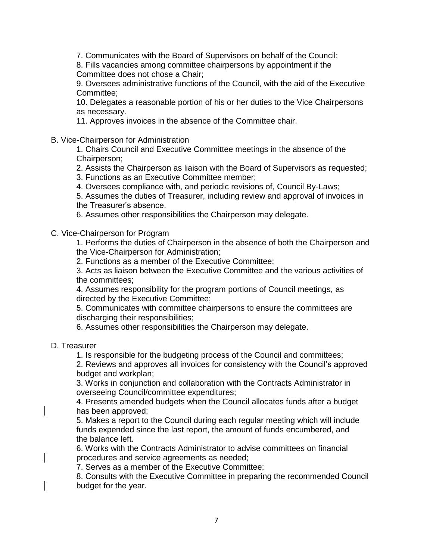7. Communicates with the Board of Supervisors on behalf of the Council;

8. Fills vacancies among committee chairpersons by appointment if the Committee does not chose a Chair;

9. Oversees administrative functions of the Council, with the aid of the Executive Committee;

10. Delegates a reasonable portion of his or her duties to the Vice Chairpersons as necessary.

11. Approves invoices in the absence of the Committee chair.

#### B. Vice-Chairperson for Administration

1. Chairs Council and Executive Committee meetings in the absence of the Chairperson;

2. Assists the Chairperson as liaison with the Board of Supervisors as requested;

3. Functions as an Executive Committee member;

4. Oversees compliance with, and periodic revisions of, Council By-Laws;

5. Assumes the duties of Treasurer, including review and approval of invoices in the Treasurer's absence.

6. Assumes other responsibilities the Chairperson may delegate.

C. Vice-Chairperson for Program

1. Performs the duties of Chairperson in the absence of both the Chairperson and the Vice-Chairperson for Administration;

2. Functions as a member of the Executive Committee;

3. Acts as liaison between the Executive Committee and the various activities of the committees;

4. Assumes responsibility for the program portions of Council meetings, as directed by the Executive Committee;

5. Communicates with committee chairpersons to ensure the committees are discharging their responsibilities;

6. Assumes other responsibilities the Chairperson may delegate.

D. Treasurer

1. Is responsible for the budgeting process of the Council and committees;

2. Reviews and approves all invoices for consistency with the Council's approved budget and workplan;

3. Works in conjunction and collaboration with the Contracts Administrator in overseeing Council/committee expenditures;

4. Presents amended budgets when the Council allocates funds after a budget has been approved;

5. Makes a report to the Council during each regular meeting which will include funds expended since the last report, the amount of funds encumbered, and the balance left.

6. Works with the Contracts Administrator to advise committees on financial procedures and service agreements as needed;

7. Serves as a member of the Executive Committee;

8. Consults with the Executive Committee in preparing the recommended Council budget for the year.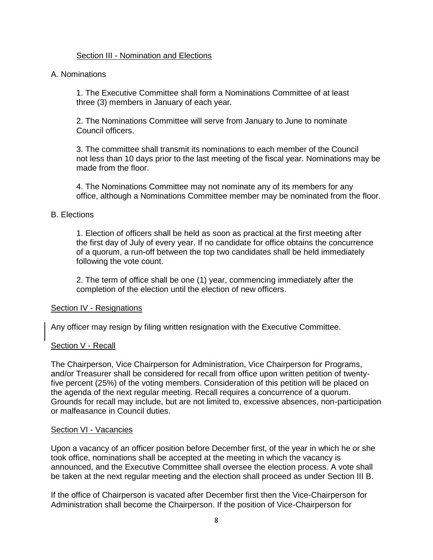### Section III - Nomination and Elections

### A. Nominations

1. The Executive Committee shall form a Nominations Committee of at least three (3) members in January of each year*.* 

2. The Nominations Committee will serve from January to June to nominate Council officers.

3. The committee shall transmit its nominations to each member of the Council not less than 10 days prior to the last meeting of the fiscal year. Nominations may be made from the floor.

4. The Nominations Committee may not nominate any of its members for any office, although a Nominations Committee member may be nominated from the floor.

### B. Elections

1. Election of officers shall be held as soon as practical at the first meeting after the first day of July of every year. If no candidate for office obtains the concurrence of a quorum, a run-off between the top two candidates shall be held immediately following the vote count.

2. The term of office shall be one (1) year, commencing immediately after the completion of the election until the election of new officers.

### Section IV - Resignations

Any officer may resign by filing written resignation with the Executive Committee.

### Section V - Recall

The Chairperson, Vice Chairperson for Administration, Vice Chairperson for Programs, and/or Treasurer shall be considered for recall from office upon written petition of twentyfive percent (25%) of the voting members. Consideration of this petition will be placed on the agenda of the next regular meeting. Recall requires a concurrence of a quorum. Grounds for recall may include, but are not limited to, excessive absences, non-participation or malfeasance in Council duties.

#### Section VI - Vacancies

Upon a vacancy of an officer position before December first, of the year in which he or she took office, nominations shall be accepted at the meeting in which the vacancy is announced, and the Executive Committee shall oversee the election process. A vote shall be taken at the next regular meeting and the election shall proceed as under Section III B.

If the office of Chairperson is vacated after December first then the Vice-Chairperson for Administration shall become the Chairperson. If the position of Vice-Chairperson for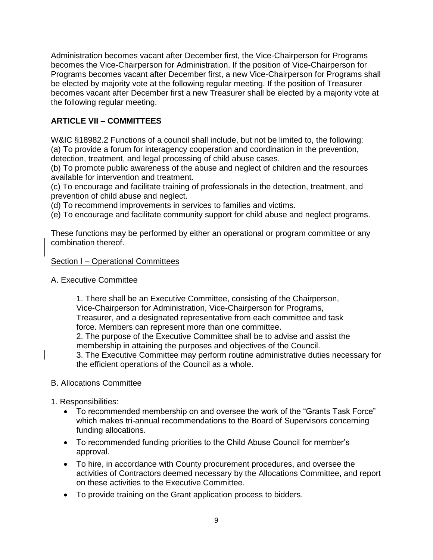Administration becomes vacant after December first, the Vice-Chairperson for Programs becomes the Vice-Chairperson for Administration. If the position of Vice-Chairperson for Programs becomes vacant after December first, a new Vice-Chairperson for Programs shall be elected by majority vote at the following regular meeting. If the position of Treasurer becomes vacant after December first a new Treasurer shall be elected by a majority vote at the following regular meeting.

# **ARTICLE VII – COMMITTEES**

W&IC §18982.2 Functions of a council shall include, but not be limited to, the following: (a) To provide a forum for interagency cooperation and coordination in the prevention, detection, treatment, and legal processing of child abuse cases.

(b) To promote public awareness of the abuse and neglect of children and the resources available for intervention and treatment.

(c) To encourage and facilitate training of professionals in the detection, treatment, and prevention of child abuse and neglect.

(d) To recommend improvements in services to families and victims.

(e) To encourage and facilitate community support for child abuse and neglect programs.

These functions may be performed by either an operational or program committee or any combination thereof.

## Section I – Operational Committees

A. Executive Committee

1. There shall be an Executive Committee, consisting of the Chairperson, Vice-Chairperson for Administration, Vice-Chairperson for Programs, Treasurer, and a designated representative from each committee and task force. Members can represent more than one committee. 2. The purpose of the Executive Committee shall be to advise and assist the membership in attaining the purposes and objectives of the Council. 3. The Executive Committee may perform routine administrative duties necessary for the efficient operations of the Council as a whole.

- B. Allocations Committee
- 1. Responsibilities:
	- To recommended membership on and oversee the work of the "Grants Task Force" which makes tri-annual recommendations to the Board of Supervisors concerning funding allocations.
	- To recommended funding priorities to the Child Abuse Council for member's approval.
	- To hire, in accordance with County procurement procedures, and oversee the activities of Contractors deemed necessary by the Allocations Committee, and report on these activities to the Executive Committee.
	- To provide training on the Grant application process to bidders.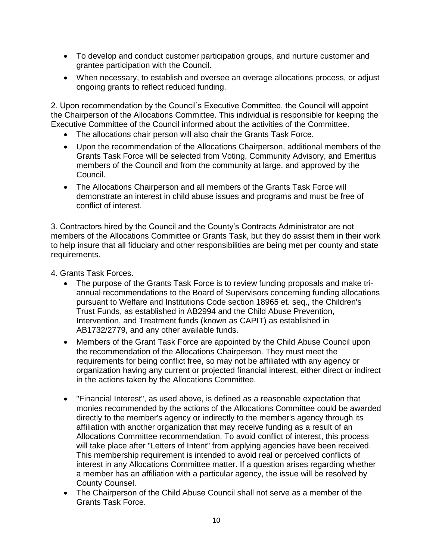- To develop and conduct customer participation groups, and nurture customer and grantee participation with the Council.
- When necessary, to establish and oversee an overage allocations process, or adjust ongoing grants to reflect reduced funding.

2. Upon recommendation by the Council's Executive Committee, the Council will appoint the Chairperson of the Allocations Committee. This individual is responsible for keeping the Executive Committee of the Council informed about the activities of the Committee.

- The allocations chair person will also chair the Grants Task Force.
- Upon the recommendation of the Allocations Chairperson, additional members of the Grants Task Force will be selected from Voting, Community Advisory, and Emeritus members of the Council and from the community at large, and approved by the Council.
- The Allocations Chairperson and all members of the Grants Task Force will demonstrate an interest in child abuse issues and programs and must be free of conflict of interest.

3. Contractors hired by the Council and the County's Contracts Administrator are not members of the Allocations Committee or Grants Task, but they do assist them in their work to help insure that all fiduciary and other responsibilities are being met per county and state requirements.

4. Grants Task Forces.

- The purpose of the Grants Task Force is to review funding proposals and make triannual recommendations to the Board of Supervisors concerning funding allocations pursuant to Welfare and Institutions Code section 18965 et. seq., the Children's Trust Funds, as established in AB2994 and the Child Abuse Prevention, Intervention, and Treatment funds (known as CAPIT) as established in AB1732/2779, and any other available funds.
- Members of the Grant Task Force are appointed by the Child Abuse Council upon the recommendation of the Allocations Chairperson. They must meet the requirements for being conflict free, so may not be affiliated with any agency or organization having any current or projected financial interest, either direct or indirect in the actions taken by the Allocations Committee.
- "Financial Interest", as used above, is defined as a reasonable expectation that monies recommended by the actions of the Allocations Committee could be awarded directly to the member's agency or indirectly to the member's agency through its affiliation with another organization that may receive funding as a result of an Allocations Committee recommendation. To avoid conflict of interest, this process will take place after "Letters of Intent" from applying agencies have been received. This membership requirement is intended to avoid real or perceived conflicts of interest in any Allocations Committee matter. If a question arises regarding whether a member has an affiliation with a particular agency, the issue will be resolved by County Counsel.
- The Chairperson of the Child Abuse Council shall not serve as a member of the Grants Task Force.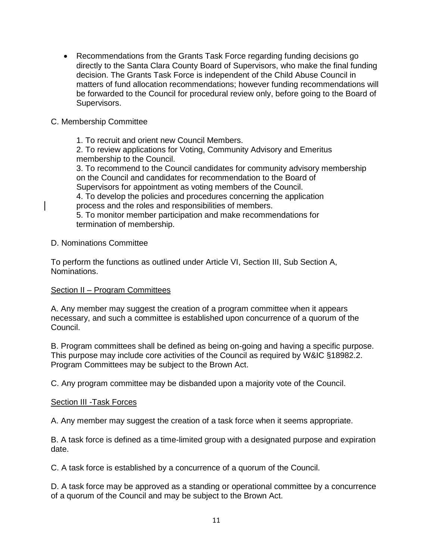Recommendations from the Grants Task Force regarding funding decisions go directly to the Santa Clara County Board of Supervisors, who make the final funding decision. The Grants Task Force is independent of the Child Abuse Council in matters of fund allocation recommendations; however funding recommendations will be forwarded to the Council for procedural review only, before going to the Board of Supervisors.

## C. Membership Committee

1. To recruit and orient new Council Members. 2. To review applications for Voting, Community Advisory and Emeritus membership to the Council. 3. To recommend to the Council candidates for community advisory membership on the Council and candidates for recommendation to the Board of Supervisors for appointment as voting members of the Council. 4. To develop the policies and procedures concerning the application process and the roles and responsibilities of members. 5. To monitor member participation and make recommendations for termination of membership.

#### D. Nominations Committee

To perform the functions as outlined under Article VI, Section III, Sub Section A, Nominations.

### Section II – Program Committees

A. Any member may suggest the creation of a program committee when it appears necessary, and such a committee is established upon concurrence of a quorum of the Council.

B. Program committees shall be defined as being on-going and having a specific purpose. This purpose may include core activities of the Council as required by W&IC §18982.2. Program Committees may be subject to the Brown Act.

C. Any program committee may be disbanded upon a majority vote of the Council.

### Section III -Task Forces

A. Any member may suggest the creation of a task force when it seems appropriate.

B. A task force is defined as a time-limited group with a designated purpose and expiration date.

C. A task force is established by a concurrence of a quorum of the Council.

D. A task force may be approved as a standing or operational committee by a concurrence of a quorum of the Council and may be subject to the Brown Act.